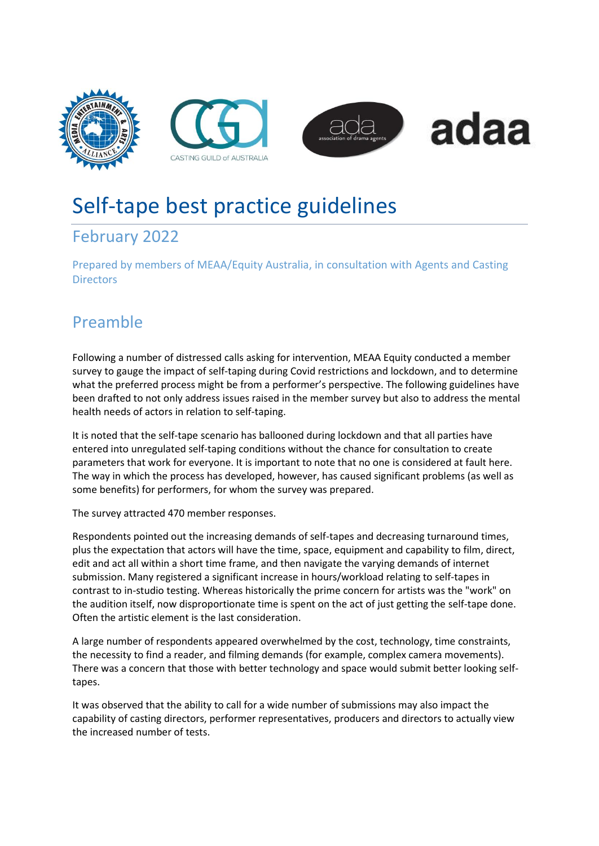







# Self-tape best practice guidelines

### February 2022

Prepared by members of MEAA/Equity Australia, in consultation with Agents and Casting **Directors** 

## Preamble

Following a number of distressed calls asking for intervention, MEAA Equity conducted a member survey to gauge the impact of self-taping during Covid restrictions and lockdown, and to determine what the preferred process might be from a performer's perspective. The following guidelines have been drafted to not only address issues raised in the member survey but also to address the mental health needs of actors in relation to self-taping.

It is noted that the self-tape scenario has ballooned during lockdown and that all parties have entered into unregulated self-taping conditions without the chance for consultation to create parameters that work for everyone. It is important to note that no one is considered at fault here. The way in which the process has developed, however, has caused significant problems (as well as some benefits) for performers, for whom the survey was prepared.

The survey attracted 470 member responses.

Respondents pointed out the increasing demands of self-tapes and decreasing turnaround times, plus the expectation that actors will have the time, space, equipment and capability to film, direct, edit and act all within a short time frame, and then navigate the varying demands of internet submission. Many registered a significant increase in hours/workload relating to self-tapes in contrast to in-studio testing. Whereas historically the prime concern for artists was the "work" on the audition itself, now disproportionate time is spent on the act of just getting the self-tape done. Often the artistic element is the last consideration.

A large number of respondents appeared overwhelmed by the cost, technology, time constraints, the necessity to find a reader, and filming demands (for example, complex camera movements). There was a concern that those with better technology and space would submit better looking selftapes.

It was observed that the ability to call for a wide number of submissions may also impact the capability of casting directors, performer representatives, producers and directors to actually view the increased number of tests.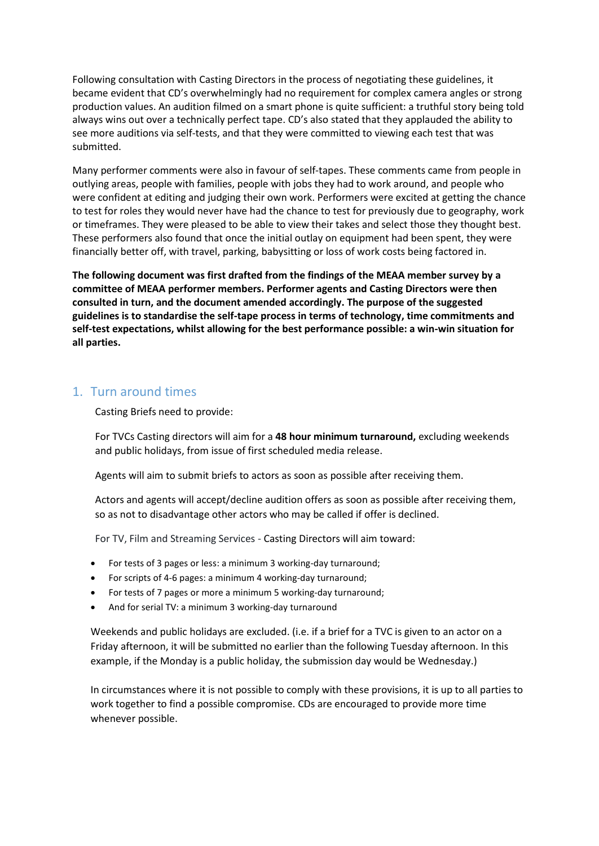Following consultation with Casting Directors in the process of negotiating these guidelines, it became evident that CD's overwhelmingly had no requirement for complex camera angles or strong production values. An audition filmed on a smart phone is quite sufficient: a truthful story being told always wins out over a technically perfect tape. CD's also stated that they applauded the ability to see more auditions via self-tests, and that they were committed to viewing each test that was submitted.

Many performer comments were also in favour of self-tapes. These comments came from people in outlying areas, people with families, people with jobs they had to work around, and people who were confident at editing and judging their own work. Performers were excited at getting the chance to test for roles they would never have had the chance to test for previously due to geography, work or timeframes. They were pleased to be able to view their takes and select those they thought best. These performers also found that once the initial outlay on equipment had been spent, they were financially better off, with travel, parking, babysitting or loss of work costs being factored in.

**The following document was first drafted from the findings of the MEAA member survey by a committee of MEAA performer members. Performer agents and Casting Directors were then consulted in turn, and the document amended accordingly. The purpose of the suggested guidelines is to standardise the self-tape process in terms of technology, time commitments and self-test expectations, whilst allowing for the best performance possible: a win-win situation for all parties.** 

#### 1. Turn around times

Casting Briefs need to provide:

For TVCs Casting directors will aim for a **48 hour minimum turnaround,** excluding weekends and public holidays, from issue of first scheduled media release.

Agents will aim to submit briefs to actors as soon as possible after receiving them.

Actors and agents will accept/decline audition offers as soon as possible after receiving them, so as not to disadvantage other actors who may be called if offer is declined.

For TV, Film and Streaming Services - Casting Directors will aim toward:

- For tests of 3 pages or less: a minimum 3 working-day turnaround;
- For scripts of 4-6 pages: a minimum 4 working-day turnaround;
- For tests of 7 pages or more a minimum 5 working-day turnaround;
- And for serial TV: a minimum 3 working-day turnaround

Weekends and public holidays are excluded. (i.e. if a brief for a TVC is given to an actor on a Friday afternoon, it will be submitted no earlier than the following Tuesday afternoon. In this example, if the Monday is a public holiday, the submission day would be Wednesday.)

In circumstances where it is not possible to comply with these provisions, it is up to all parties to work together to find a possible compromise. CDs are encouraged to provide more time whenever possible.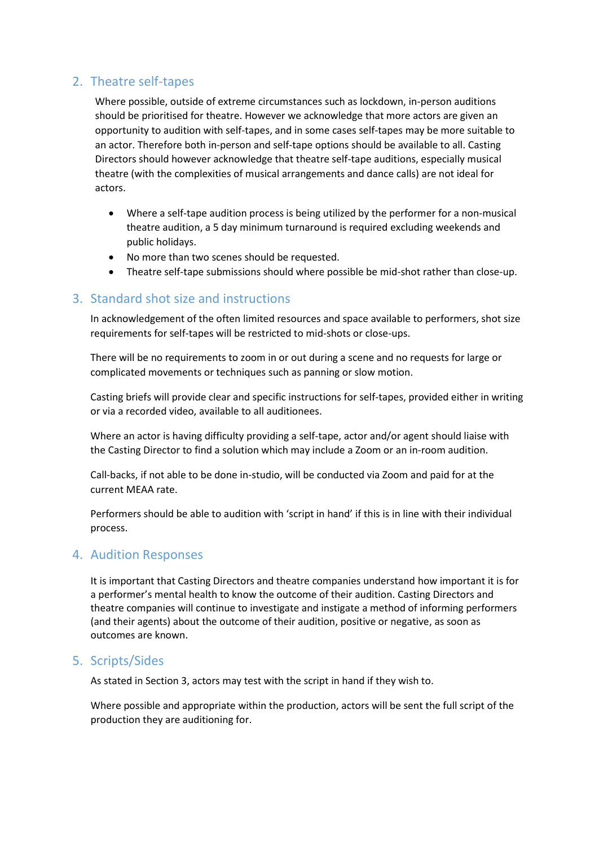#### 2. Theatre self-tapes

Where possible, outside of extreme circumstances such as lockdown, in-person auditions should be prioritised for theatre. However we acknowledge that more actors are given an opportunity to audition with self-tapes, and in some cases self-tapes may be more suitable to an actor. Therefore both in-person and self-tape options should be available to all. Casting Directors should however acknowledge that theatre self-tape auditions, especially musical theatre (with the complexities of musical arrangements and dance calls) are not ideal for actors.

- Where a self-tape audition process is being utilized by the performer for a non-musical theatre audition, a 5 day minimum turnaround is required excluding weekends and public holidays.
- No more than two scenes should be requested.
- Theatre self-tape submissions should where possible be mid-shot rather than close-up.

#### 3. Standard shot size and instructions

In acknowledgement of the often limited resources and space available to performers, shot size requirements for self-tapes will be restricted to mid-shots or close-ups.

There will be no requirements to zoom in or out during a scene and no requests for large or complicated movements or techniques such as panning or slow motion.

Casting briefs will provide clear and specific instructions for self-tapes, provided either in writing or via a recorded video, available to all auditionees.

Where an actor is having difficulty providing a self-tape, actor and/or agent should liaise with the Casting Director to find a solution which may include a Zoom or an in-room audition.

Call-backs, if not able to be done in-studio, will be conducted via Zoom and paid for at the current MEAA rate.

Performers should be able to audition with 'script in hand' if this is in line with their individual process.

#### 4. Audition Responses

It is important that Casting Directors and theatre companies understand how important it is for a performer's mental health to know the outcome of their audition. Casting Directors and theatre companies will continue to investigate and instigate a method of informing performers (and their agents) about the outcome of their audition, positive or negative, as soon as outcomes are known.

#### 5. Scripts/Sides

As stated in Section 3, actors may test with the script in hand if they wish to.

Where possible and appropriate within the production, actors will be sent the full script of the production they are auditioning for.